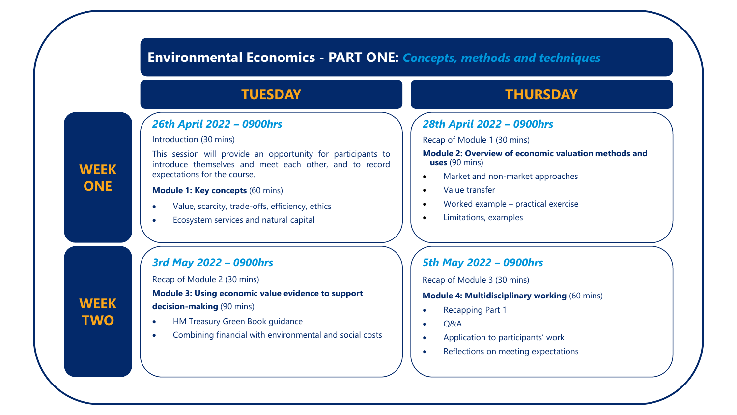# **Environmental Economics - PART ONE:** *Concepts, methods and techniques*

## *26th April 2022 – 0900hrs*

Introduction (30 mins)

This session will provide an opportunity for participants to introduce themselves and meet each other, and to record expectations for the course.

#### **Module 1: Key concepts** (60 mins)

- Value, scarcity, trade-offs, efficiency, ethics
- Ecosystem services and natural capital

## *3rd May 2022 – 0900hrs*

Recap of Module 2 (30 mins)

**Module 3: Using economic value evidence to support**

**decision-making** (90 mins)

- HM Treasury Green Book guidance
- Combining financial with environmental and social costs

# **TUESDAY THURSDAY**

# *28th April 2022 – 0900hrs*

Recap of Module 1 (30 mins)

**Module 2: Overview of economic valuation methods and uses** (90 mins)

- Market and non-market approaches
- Value transfer
- Worked example practical exercise
- Limitations, examples

# *5th May 2022 – 0900hrs*

Recap of Module 3 (30 mins)

#### **Module 4: Multidisciplinary working** (60 mins)

- Recapping Part 1
- Q&A
- Application to participants' work
- Reflections on meeting expectations

# **WEEK ONE**

**WEEK TWO**